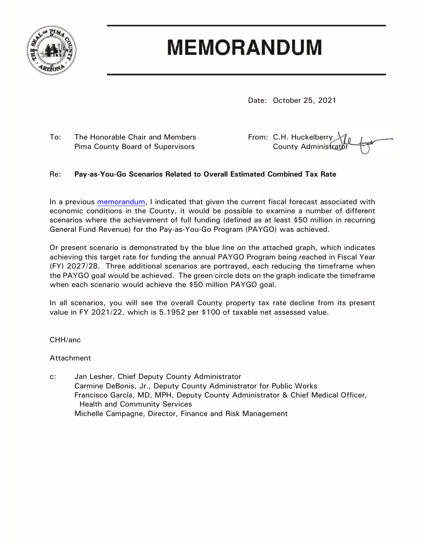

## **MEMORANDUM**

Date: October 25, 2021

To: The Honorable Chair and Members From: C.H. Huckelberry Pima County Board of Supervisors The County Administration of County Administration

## Re: **Pay-as-You-Go Scenarios Related to Overall Estimated Combined Tax Rate**

In a previous [memorandum,](https://webcms.pima.gov/UserFiles/Servers/Server_6/File/Government/Administration/CHHmemosFor%20Web/2021/October/October%207,%202021%20-%20Pay-As-You-Go%20(PAYGO)%20Tax%20Levy%20and%20Estimated%20Collections.pdf) I indicated that given the current fiscal forecast associated with economic conditions in the County, it would be possible to examine a number of different scenarios where the achievement of full funding (defined as at least \$50 million in recurring General Fund Revenue) for the Pay-as-You-Go Program (PAYGO) was achieved.

Or present scenario is demonstrated by the blue line on the attached graph, which indicates achieving this target rate for funding the annual PAYGO Program being reached in Fiscal Year (FY) 2027/28. Three additional scenarios are portrayed, each reducing the timeframe when the PAYGO goal would be achieved. The green circle dots on the graph indicate the timeframe when each scenario would achieve the \$50 million PAYGO goal.

In all scenarios, you will see the overall County property tax rate decline from its present value in FY 2021/22, which is 5.1952 per \$100 of taxable net assessed value.

CHH/anc

## Attachment

c: Jan Lesher, Chief Deputy County Administrator Carmine DeBonis, Jr., Deputy County Administrator for Public Works Francisco García, MD, MPH, Deputy County Administrator & Chief Medical Officer, Health and Community Services Michelle Campagne, Director, Finance and Risk Management